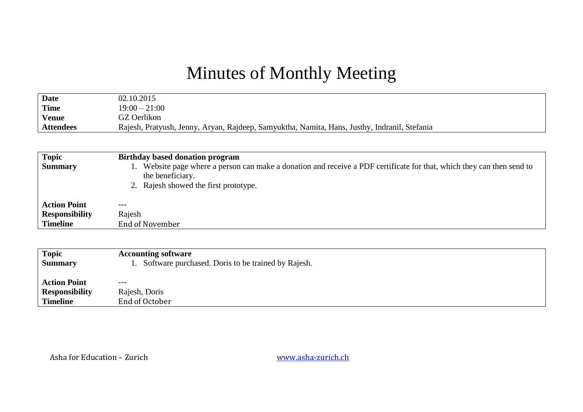## Minutes of Monthly Meeting

| <b>Date</b>      | 02.10.2015                                                                                   |
|------------------|----------------------------------------------------------------------------------------------|
| Time             | $19:00 - 21:00$                                                                              |
| <b>Venue</b>     | GZ Oerlikon                                                                                  |
| <b>Attendees</b> | Rajesh, Pratyush, Jenny, Aryan, Rajdeep, Samyuktha, Namita, Hans, Justhy, Indranil, Stefania |
|                  |                                                                                              |

| <b>Topic</b>          | Birthday based donation program                                                                                                                                                  |
|-----------------------|----------------------------------------------------------------------------------------------------------------------------------------------------------------------------------|
| <b>Summary</b>        | Website page where a person can make a donation and receive a PDF certificate for that, which they can then send to<br>the beneficiary.<br>2. Rajesh showed the first prototype. |
| <b>Action Point</b>   | $---$                                                                                                                                                                            |
| <b>Responsibility</b> | Rajesh                                                                                                                                                                           |
| <b>Timeline</b>       | End of November                                                                                                                                                                  |

| Topic<br><b>Summary</b> | <b>Accounting software</b><br>Software purchased. Doris to be trained by Rajesh. |
|-------------------------|----------------------------------------------------------------------------------|
| <b>Action Point</b>     | $---$                                                                            |
| <b>Responsibility</b>   | Rajesh, Doris                                                                    |
| Timeline                | End of October                                                                   |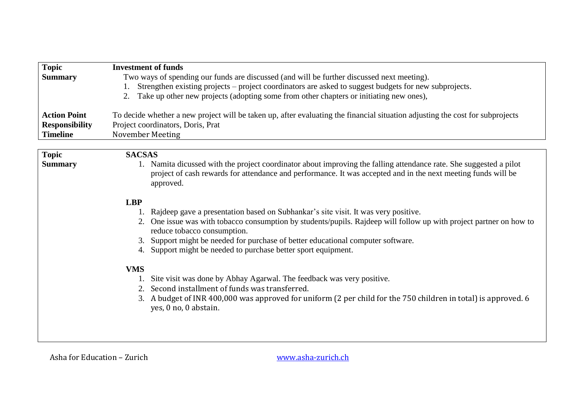| <b>Topic</b>          | <b>Investment of funds</b>                                                                                                    |
|-----------------------|-------------------------------------------------------------------------------------------------------------------------------|
| <b>Summary</b>        | Two ways of spending our funds are discussed (and will be further discussed next meeting).                                    |
|                       | Strengthen existing projects – project coordinators are asked to suggest budgets for new subprojects.<br>1.                   |
|                       | Take up other new projects (adopting some from other chapters or initiating new ones),                                        |
|                       |                                                                                                                               |
| <b>Action Point</b>   | To decide whether a new project will be taken up, after evaluating the financial situation adjusting the cost for subprojects |
| <b>Responsibility</b> | Project coordinators, Doris, Prat                                                                                             |
| <b>Timeline</b>       | November Meeting                                                                                                              |
|                       |                                                                                                                               |
| <b>Topic</b>          | <b>SACSAS</b>                                                                                                                 |
| <b>Summary</b>        | 1. Namita dicussed with the project coordinator about improving the falling attendance rate. She suggested a pilot            |
|                       | project of cash rewards for attendance and performance. It was accepted and in the next meeting funds will be                 |
|                       | approved.                                                                                                                     |
|                       |                                                                                                                               |
|                       | <b>LBP</b>                                                                                                                    |
|                       | Rajdeep gave a presentation based on Subhankar's site visit. It was very positive.                                            |
|                       | One issue was with tobacco consumption by students/pupils. Rajdeep will follow up with project partner on how to<br>2.        |
|                       | reduce tobacco consumption.                                                                                                   |
|                       | Support might be needed for purchase of better educational computer software.<br>3.                                           |
|                       | 4. Support might be needed to purchase better sport equipment.                                                                |
|                       |                                                                                                                               |
|                       | <b>VMS</b>                                                                                                                    |
|                       | Site visit was done by Abhay Agarwal. The feedback was very positive.                                                         |
|                       | Second installment of funds was transferred.                                                                                  |
|                       | A budget of INR 400,000 was approved for uniform (2 per child for the 750 children in total) is approved. 6<br>3.             |
|                       | yes, 0 no, 0 abstain.                                                                                                         |
|                       |                                                                                                                               |
|                       |                                                                                                                               |
|                       |                                                                                                                               |
|                       |                                                                                                                               |

Asha for Education – Zurich [www.asha-zurich.ch](http://www.asha-zurich.ch/)